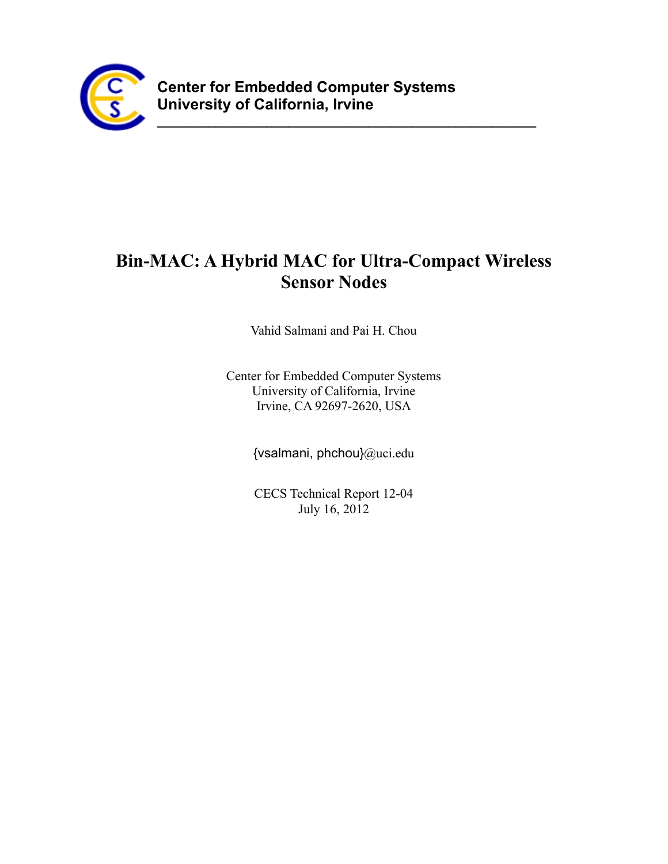

# **Bin-MAC: A Hybrid MAC for Ultra-Compact Wireless Sensor Nodes**

**9999999999999999999999999999999999999999999999999999**

Vahid Salmani and Pai H. Chou

Center for Embedded Computer Systems University of California, Irvine Irvine, CA 92697-2620, USA

{vsalmani, phchou}@uci.edu

CECS Technical Report 12-04 July 16, 2012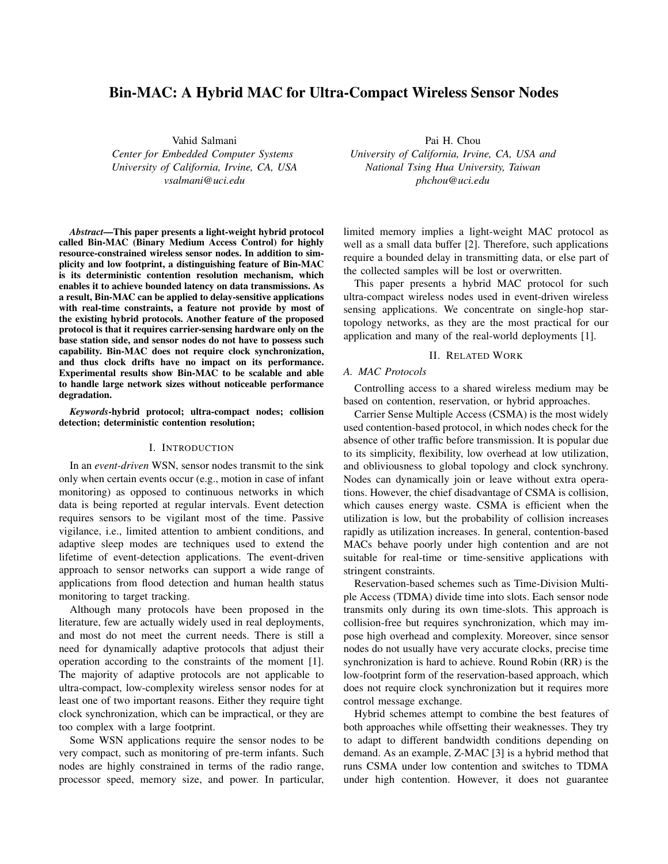# Bin-MAC: A Hybrid MAC for Ultra-Compact Wireless Sensor Nodes

Vahid Salmani *Center for Embedded Computer Systems University of California, Irvine, CA, USA vsalmani@uci.edu*

*Abstract*—This paper presents a light-weight hybrid protocol called Bin-MAC (Binary Medium Access Control) for highly resource-constrained wireless sensor nodes. In addition to simplicity and low footprint, a distinguishing feature of Bin-MAC is its deterministic contention resolution mechanism, which enables it to achieve bounded latency on data transmissions. As a result, Bin-MAC can be applied to delay-sensitive applications with real-time constraints, a feature not provide by most of the existing hybrid protocols. Another feature of the proposed protocol is that it requires carrier-sensing hardware only on the base station side, and sensor nodes do not have to possess such capability. Bin-MAC does not require clock synchronization, and thus clock drifts have no impact on its performance. Experimental results show Bin-MAC to be scalable and able to handle large network sizes without noticeable performance degradation.

*Keywords*-hybrid protocol; ultra-compact nodes; collision detection; deterministic contention resolution;

#### I. INTRODUCTION

In an *event-driven* WSN, sensor nodes transmit to the sink only when certain events occur (e.g., motion in case of infant monitoring) as opposed to continuous networks in which data is being reported at regular intervals. Event detection requires sensors to be vigilant most of the time. Passive vigilance, i.e., limited attention to ambient conditions, and adaptive sleep modes are techniques used to extend the lifetime of event-detection applications. The event-driven approach to sensor networks can support a wide range of applications from flood detection and human health status monitoring to target tracking.

Although many protocols have been proposed in the literature, few are actually widely used in real deployments, and most do not meet the current needs. There is still a need for dynamically adaptive protocols that adjust their operation according to the constraints of the moment [1]. The majority of adaptive protocols are not applicable to ultra-compact, low-complexity wireless sensor nodes for at least one of two important reasons. Either they require tight clock synchronization, which can be impractical, or they are too complex with a large footprint.

Some WSN applications require the sensor nodes to be very compact, such as monitoring of pre-term infants. Such nodes are highly constrained in terms of the radio range, processor speed, memory size, and power. In particular,

Pai H. Chou *University of California, Irvine, CA, USA and National Tsing Hua University, Taiwan phchou@uci.edu*

limited memory implies a light-weight MAC protocol as well as a small data buffer [2]. Therefore, such applications require a bounded delay in transmitting data, or else part of the collected samples will be lost or overwritten.

This paper presents a hybrid MAC protocol for such ultra-compact wireless nodes used in event-driven wireless sensing applications. We concentrate on single-hop startopology networks, as they are the most practical for our application and many of the real-world deployments [1].

### II. RELATED WORK

# *A. MAC Protocols*

Controlling access to a shared wireless medium may be based on contention, reservation, or hybrid approaches.

Carrier Sense Multiple Access (CSMA) is the most widely used contention-based protocol, in which nodes check for the absence of other traffic before transmission. It is popular due to its simplicity, flexibility, low overhead at low utilization, and obliviousness to global topology and clock synchrony. Nodes can dynamically join or leave without extra operations. However, the chief disadvantage of CSMA is collision, which causes energy waste. CSMA is efficient when the utilization is low, but the probability of collision increases rapidly as utilization increases. In general, contention-based MACs behave poorly under high contention and are not suitable for real-time or time-sensitive applications with stringent constraints.

Reservation-based schemes such as Time-Division Multiple Access (TDMA) divide time into slots. Each sensor node transmits only during its own time-slots. This approach is collision-free but requires synchronization, which may impose high overhead and complexity. Moreover, since sensor nodes do not usually have very accurate clocks, precise time synchronization is hard to achieve. Round Robin (RR) is the low-footprint form of the reservation-based approach, which does not require clock synchronization but it requires more control message exchange.

Hybrid schemes attempt to combine the best features of both approaches while offsetting their weaknesses. They try to adapt to different bandwidth conditions depending on demand. As an example, Z-MAC [3] is a hybrid method that runs CSMA under low contention and switches to TDMA under high contention. However, it does not guarantee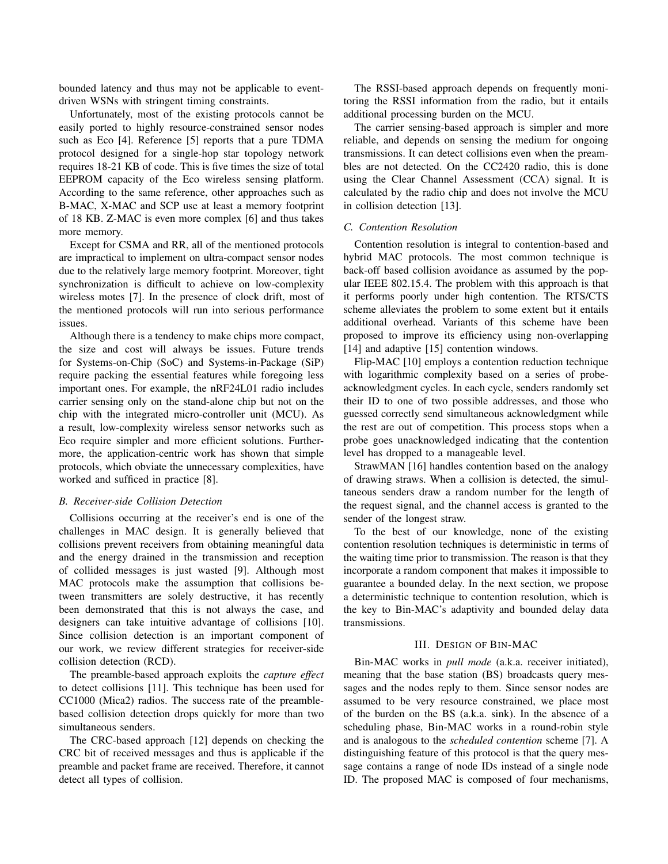bounded latency and thus may not be applicable to eventdriven WSNs with stringent timing constraints.

Unfortunately, most of the existing protocols cannot be easily ported to highly resource-constrained sensor nodes such as Eco [4]. Reference [5] reports that a pure TDMA protocol designed for a single-hop star topology network requires 18-21 KB of code. This is five times the size of total EEPROM capacity of the Eco wireless sensing platform. According to the same reference, other approaches such as B-MAC, X-MAC and SCP use at least a memory footprint of 18 KB. Z-MAC is even more complex [6] and thus takes more memory.

Except for CSMA and RR, all of the mentioned protocols are impractical to implement on ultra-compact sensor nodes due to the relatively large memory footprint. Moreover, tight synchronization is difficult to achieve on low-complexity wireless motes [7]. In the presence of clock drift, most of the mentioned protocols will run into serious performance issues.

Although there is a tendency to make chips more compact, the size and cost will always be issues. Future trends for Systems-on-Chip (SoC) and Systems-in-Package (SiP) require packing the essential features while foregoing less important ones. For example, the nRF24L01 radio includes carrier sensing only on the stand-alone chip but not on the chip with the integrated micro-controller unit (MCU). As a result, low-complexity wireless sensor networks such as Eco require simpler and more efficient solutions. Furthermore, the application-centric work has shown that simple protocols, which obviate the unnecessary complexities, have worked and sufficed in practice [8].

#### *B. Receiver-side Collision Detection*

Collisions occurring at the receiver's end is one of the challenges in MAC design. It is generally believed that collisions prevent receivers from obtaining meaningful data and the energy drained in the transmission and reception of collided messages is just wasted [9]. Although most MAC protocols make the assumption that collisions between transmitters are solely destructive, it has recently been demonstrated that this is not always the case, and designers can take intuitive advantage of collisions [10]. Since collision detection is an important component of our work, we review different strategies for receiver-side collision detection (RCD).

The preamble-based approach exploits the *capture effect* to detect collisions [11]. This technique has been used for CC1000 (Mica2) radios. The success rate of the preamblebased collision detection drops quickly for more than two simultaneous senders.

The CRC-based approach [12] depends on checking the CRC bit of received messages and thus is applicable if the preamble and packet frame are received. Therefore, it cannot detect all types of collision.

The RSSI-based approach depends on frequently monitoring the RSSI information from the radio, but it entails additional processing burden on the MCU.

The carrier sensing-based approach is simpler and more reliable, and depends on sensing the medium for ongoing transmissions. It can detect collisions even when the preambles are not detected. On the CC2420 radio, this is done using the Clear Channel Assessment (CCA) signal. It is calculated by the radio chip and does not involve the MCU in collision detection [13].

#### *C. Contention Resolution*

Contention resolution is integral to contention-based and hybrid MAC protocols. The most common technique is back-off based collision avoidance as assumed by the popular IEEE 802.15.4. The problem with this approach is that it performs poorly under high contention. The RTS/CTS scheme alleviates the problem to some extent but it entails additional overhead. Variants of this scheme have been proposed to improve its efficiency using non-overlapping [14] and adaptive [15] contention windows.

Flip-MAC [10] employs a contention reduction technique with logarithmic complexity based on a series of probeacknowledgment cycles. In each cycle, senders randomly set their ID to one of two possible addresses, and those who guessed correctly send simultaneous acknowledgment while the rest are out of competition. This process stops when a probe goes unacknowledged indicating that the contention level has dropped to a manageable level.

StrawMAN [16] handles contention based on the analogy of drawing straws. When a collision is detected, the simultaneous senders draw a random number for the length of the request signal, and the channel access is granted to the sender of the longest straw.

To the best of our knowledge, none of the existing contention resolution techniques is deterministic in terms of the waiting time prior to transmission. The reason is that they incorporate a random component that makes it impossible to guarantee a bounded delay. In the next section, we propose a deterministic technique to contention resolution, which is the key to Bin-MAC's adaptivity and bounded delay data transmissions.

#### III. DESIGN OF BIN-MAC

Bin-MAC works in *pull mode* (a.k.a. receiver initiated), meaning that the base station (BS) broadcasts query messages and the nodes reply to them. Since sensor nodes are assumed to be very resource constrained, we place most of the burden on the BS (a.k.a. sink). In the absence of a scheduling phase, Bin-MAC works in a round-robin style and is analogous to the *scheduled contention* scheme [7]. A distinguishing feature of this protocol is that the query message contains a range of node IDs instead of a single node ID. The proposed MAC is composed of four mechanisms,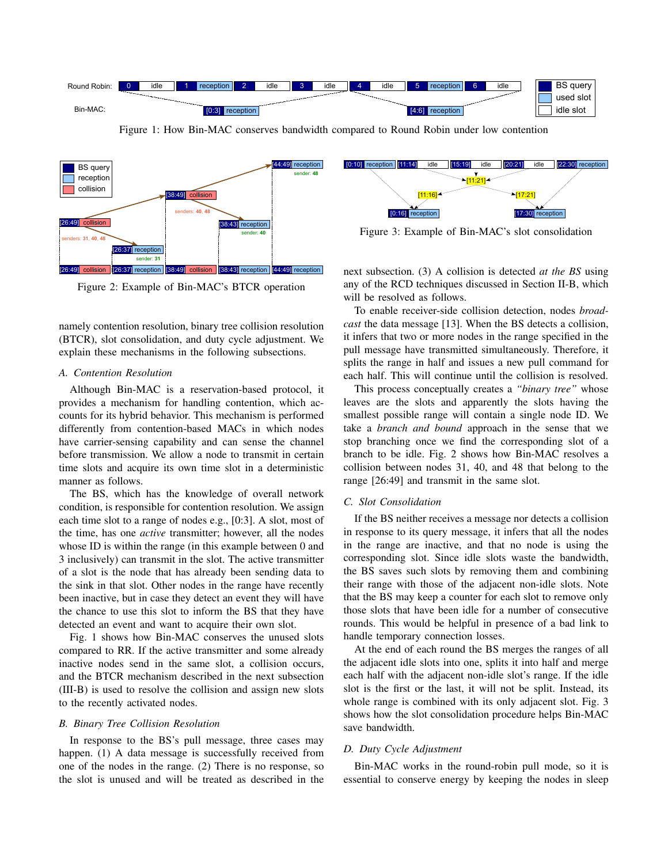

Figure 1: How Bin-MAC conserves bandwidth compared to Round Robin under low contention



Figure 2: Example of Bin-MAC's BTCR operation

namely contention resolution, binary tree collision resolution (BTCR), slot consolidation, and duty cycle adjustment. We explain these mechanisms in the following subsections.

#### *A. Contention Resolution*

Although Bin-MAC is a reservation-based protocol, it provides a mechanism for handling contention, which accounts for its hybrid behavior. This mechanism is performed differently from contention-based MACs in which nodes have carrier-sensing capability and can sense the channel before transmission. We allow a node to transmit in certain time slots and acquire its own time slot in a deterministic manner as follows.

The BS, which has the knowledge of overall network condition, is responsible for contention resolution. We assign each time slot to a range of nodes e.g., [0:3]. A slot, most of the time, has one *active* transmitter; however, all the nodes whose ID is within the range (in this example between 0 and 3 inclusively) can transmit in the slot. The active transmitter of a slot is the node that has already been sending data to the sink in that slot. Other nodes in the range have recently been inactive, but in case they detect an event they will have the chance to use this slot to inform the BS that they have detected an event and want to acquire their own slot.

Fig. 1 shows how Bin-MAC conserves the unused slots compared to RR. If the active transmitter and some already inactive nodes send in the same slot, a collision occurs, and the BTCR mechanism described in the next subsection (III-B) is used to resolve the collision and assign new slots to the recently activated nodes.

#### *B. Binary Tree Collision Resolution*

In response to the BS's pull message, three cases may happen. (1) A data message is successfully received from one of the nodes in the range. (2) There is no response, so the slot is unused and will be treated as described in the



Figure 3: Example of Bin-MAC's slot consolidation

next subsection. (3) A collision is detected *at the BS* using any of the RCD techniques discussed in Section II-B, which will be resolved as follows.

To enable receiver-side collision detection, nodes *broadcast* the data message [13]. When the BS detects a collision, it infers that two or more nodes in the range specified in the pull message have transmitted simultaneously. Therefore, it splits the range in half and issues a new pull command for each half. This will continue until the collision is resolved.

This process conceptually creates a *"binary tree"* whose leaves are the slots and apparently the slots having the smallest possible range will contain a single node ID. We take a *branch and bound* approach in the sense that we stop branching once we find the corresponding slot of a branch to be idle. Fig. 2 shows how Bin-MAC resolves a collision between nodes 31, 40, and 48 that belong to the range [26:49] and transmit in the same slot.

#### *C. Slot Consolidation*

If the BS neither receives a message nor detects a collision in response to its query message, it infers that all the nodes in the range are inactive, and that no node is using the corresponding slot. Since idle slots waste the bandwidth, the BS saves such slots by removing them and combining their range with those of the adjacent non-idle slots. Note that the BS may keep a counter for each slot to remove only those slots that have been idle for a number of consecutive rounds. This would be helpful in presence of a bad link to handle temporary connection losses.

At the end of each round the BS merges the ranges of all the adjacent idle slots into one, splits it into half and merge each half with the adjacent non-idle slot's range. If the idle slot is the first or the last, it will not be split. Instead, its whole range is combined with its only adjacent slot. Fig. 3 shows how the slot consolidation procedure helps Bin-MAC save bandwidth.

## *D. Duty Cycle Adjustment*

Bin-MAC works in the round-robin pull mode, so it is essential to conserve energy by keeping the nodes in sleep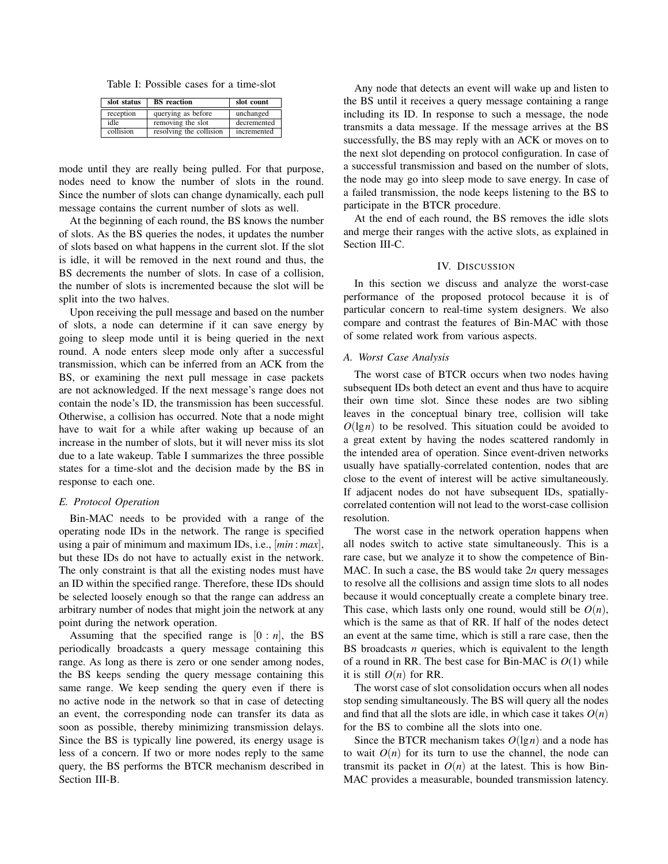Table I: Possible cases for a time-slot

| slot status | <b>BS</b> reaction      | slot count  |  |
|-------------|-------------------------|-------------|--|
| reception   | querying as before      | unchanged   |  |
| idle        | removing the slot       | decremented |  |
| collision   | resolving the collision | incremented |  |

mode until they are really being pulled. For that purpose, nodes need to know the number of slots in the round. Since the number of slots can change dynamically, each pull message contains the current number of slots as well.

At the beginning of each round, the BS knows the number of slots. As the BS queries the nodes, it updates the number of slots based on what happens in the current slot. If the slot is idle, it will be removed in the next round and thus, the BS decrements the number of slots. In case of a collision, the number of slots is incremented because the slot will be split into the two halves.

Upon receiving the pull message and based on the number of slots, a node can determine if it can save energy by going to sleep mode until it is being queried in the next round. A node enters sleep mode only after a successful transmission, which can be inferred from an ACK from the BS, or examining the next pull message in case packets are not acknowledged. If the next message's range does not contain the node's ID, the transmission has been successful. Otherwise, a collision has occurred. Note that a node might have to wait for a while after waking up because of an increase in the number of slots, but it will never miss its slot due to a late wakeup. Table I summarizes the three possible states for a time-slot and the decision made by the BS in response to each one.

# *E. Protocol Operation*

Bin-MAC needs to be provided with a range of the operating node IDs in the network. The range is specified using a pair of minimum and maximum IDs, i.e., [*min* : *max*], but these IDs do not have to actually exist in the network. The only constraint is that all the existing nodes must have an ID within the specified range. Therefore, these IDs should be selected loosely enough so that the range can address an arbitrary number of nodes that might join the network at any point during the network operation.

Assuming that the specified range is  $[0 : n]$ , the BS periodically broadcasts a query message containing this range. As long as there is zero or one sender among nodes, the BS keeps sending the query message containing this same range. We keep sending the query even if there is no active node in the network so that in case of detecting an event, the corresponding node can transfer its data as soon as possible, thereby minimizing transmission delays. Since the BS is typically line powered, its energy usage is less of a concern. If two or more nodes reply to the same query, the BS performs the BTCR mechanism described in Section III-B.

Any node that detects an event will wake up and listen to the BS until it receives a query message containing a range including its ID. In response to such a message, the node transmits a data message. If the message arrives at the BS successfully, the BS may reply with an ACK or moves on to the next slot depending on protocol configuration. In case of a successful transmission and based on the number of slots, the node may go into sleep mode to save energy. In case of a failed transmission, the node keeps listening to the BS to participate in the BTCR procedure.

At the end of each round, the BS removes the idle slots and merge their ranges with the active slots, as explained in Section III-C.

### IV. DISCUSSION

In this section we discuss and analyze the worst-case performance of the proposed protocol because it is of particular concern to real-time system designers. We also compare and contrast the features of Bin-MAC with those of some related work from various aspects.

#### *A. Worst Case Analysis*

The worst case of BTCR occurs when two nodes having subsequent IDs both detect an event and thus have to acquire their own time slot. Since these nodes are two sibling leaves in the conceptual binary tree, collision will take  $O(\lg n)$  to be resolved. This situation could be avoided to a great extent by having the nodes scattered randomly in the intended area of operation. Since event-driven networks usually have spatially-correlated contention, nodes that are close to the event of interest will be active simultaneously. If adjacent nodes do not have subsequent IDs, spatiallycorrelated contention will not lead to the worst-case collision resolution.

The worst case in the network operation happens when all nodes switch to active state simultaneously. This is a rare case, but we analyze it to show the competence of Bin-MAC. In such a case, the BS would take 2*n* query messages to resolve all the collisions and assign time slots to all nodes because it would conceptually create a complete binary tree. This case, which lasts only one round, would still be  $O(n)$ , which is the same as that of RR. If half of the nodes detect an event at the same time, which is still a rare case, then the BS broadcasts *n* queries, which is equivalent to the length of a round in RR. The best case for Bin-MAC is *O*(1) while it is still  $O(n)$  for RR.

The worst case of slot consolidation occurs when all nodes stop sending simultaneously. The BS will query all the nodes and find that all the slots are idle, in which case it takes  $O(n)$ for the BS to combine all the slots into one.

Since the BTCR mechanism takes *O*(lg*n*) and a node has to wait  $O(n)$  for its turn to use the channel, the node can transmit its packet in  $O(n)$  at the latest. This is how Bin-MAC provides a measurable, bounded transmission latency.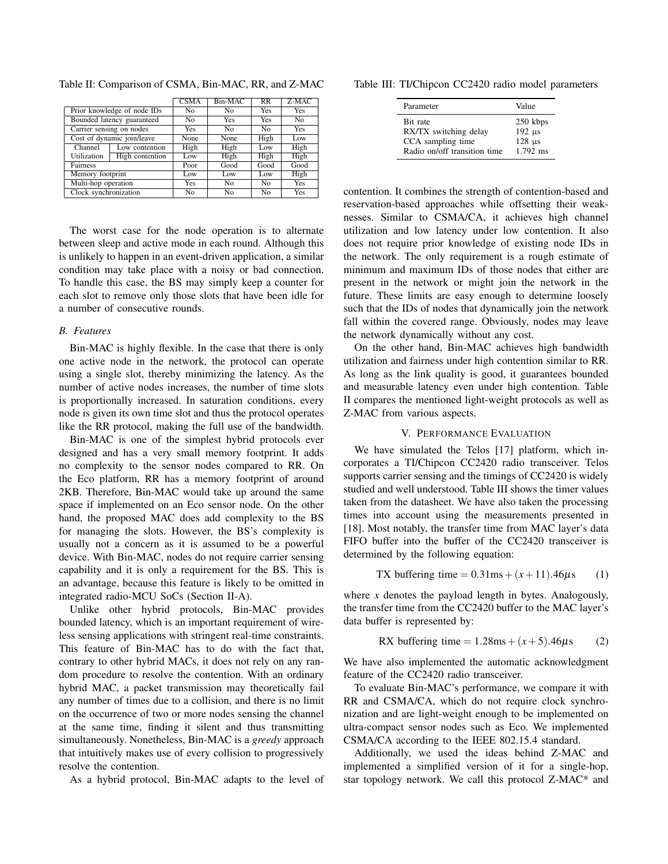|                             |                 | <b>CSMA</b>    | $\overline{\text{Bin-MAC}}$ | <b>RR</b>      | $Z-MAC$        |
|-----------------------------|-----------------|----------------|-----------------------------|----------------|----------------|
| Prior knowledge of node IDs |                 | No             | No                          | Yes            | Yes            |
| Bounded latency guaranteed  |                 | No.            | Yes                         | Yes            | N <sub>0</sub> |
| Carrier sensing on nodes    |                 | <b>Yes</b>     | N <sub>0</sub>              | N <sub>0</sub> | Yes            |
| Cost of dynamic join/leave  |                 | None           | None                        | High           | Low            |
| Channel                     | Low contention  | High           | High                        | Low            | High           |
| Utilization                 | High contention | Low            | High                        | High           | High           |
| Fairness                    |                 | Poor           | Good                        | Good           | Good           |
| Memory footprint            |                 | Low            | Low                         | Low            | High           |
| Multi-hop operation         |                 | Yes            | No                          | N <sub>0</sub> | Yes            |
| Clock synchronization       |                 | N <sub>0</sub> | No                          | N <sub>0</sub> | Yes            |

Table II: Comparison of CSMA, Bin-MAC, RR, and Z-MAC

The worst case for the node operation is to alternate between sleep and active mode in each round. Although this is unlikely to happen in an event-driven application, a similar condition may take place with a noisy or bad connection. To handle this case, the BS may simply keep a counter for each slot to remove only those slots that have been idle for a number of consecutive rounds.

# *B. Features*

Bin-MAC is highly flexible. In the case that there is only one active node in the network, the protocol can operate using a single slot, thereby minimizing the latency. As the number of active nodes increases, the number of time slots is proportionally increased. In saturation conditions, every node is given its own time slot and thus the protocol operates like the RR protocol, making the full use of the bandwidth.

Bin-MAC is one of the simplest hybrid protocols ever designed and has a very small memory footprint. It adds no complexity to the sensor nodes compared to RR. On the Eco platform, RR has a memory footprint of around 2KB. Therefore, Bin-MAC would take up around the same space if implemented on an Eco sensor node. On the other hand, the proposed MAC does add complexity to the BS for managing the slots. However, the BS's complexity is usually not a concern as it is assumed to be a powerful device. With Bin-MAC, nodes do not require carrier sensing capability and it is only a requirement for the BS. This is an advantage, because this feature is likely to be omitted in integrated radio-MCU SoCs (Section II-A).

Unlike other hybrid protocols, Bin-MAC provides bounded latency, which is an important requirement of wireless sensing applications with stringent real-time constraints. This feature of Bin-MAC has to do with the fact that, contrary to other hybrid MACs, it does not rely on any random procedure to resolve the contention. With an ordinary hybrid MAC, a packet transmission may theoretically fail any number of times due to a collision, and there is no limit on the occurrence of two or more nodes sensing the channel at the same time, finding it silent and thus transmitting simultaneously. Nonetheless, Bin-MAC is a *greedy* approach that intuitively makes use of every collision to progressively resolve the contention.

As a hybrid protocol, Bin-MAC adapts to the level of

Table III: TI/Chipcon CC2420 radio model parameters

| Parameter                    | Value         |  |
|------------------------------|---------------|--|
| Bit rate                     | 250 kbps      |  |
| RX/TX switching delay        | $192$ $\mu s$ |  |
| CCA sampling time            | $128$ $\mu s$ |  |
| Radio on/off transition time | $1.792$ ms    |  |

contention. It combines the strength of contention-based and reservation-based approaches while offsetting their weaknesses. Similar to CSMA/CA, it achieves high channel utilization and low latency under low contention. It also does not require prior knowledge of existing node IDs in the network. The only requirement is a rough estimate of minimum and maximum IDs of those nodes that either are present in the network or might join the network in the future. These limits are easy enough to determine loosely such that the IDs of nodes that dynamically join the network fall within the covered range. Obviously, nodes may leave the network dynamically without any cost.

On the other hand, Bin-MAC achieves high bandwidth utilization and fairness under high contention similar to RR. As long as the link quality is good, it guarantees bounded and measurable latency even under high contention. Table II compares the mentioned light-weight protocols as well as Z-MAC from various aspects.

# V. PERFORMANCE EVALUATION

We have simulated the Telos [17] platform, which incorporates a TI/Chipcon CC2420 radio transceiver. Telos supports carrier sensing and the timings of CC2420 is widely studied and well understood. Table III shows the timer values taken from the datasheet. We have also taken the processing times into account using the measurements presented in [18]. Most notably, the transfer time from MAC layer's data FIFO buffer into the buffer of the CC2420 transceiver is determined by the following equation:

TX buffering time = 
$$
0.31 \text{ms} + (x + 11).46 \mu \text{s}
$$
 (1)

where *x* denotes the payload length in bytes. Analogously, the transfer time from the CC2420 buffer to the MAC layer's data buffer is represented by:

RX buffering time = 
$$
1.28 \text{ms} + (x+5).46 \mu \text{s}
$$
 (2)

We have also implemented the automatic acknowledgment feature of the CC2420 radio transceiver.

To evaluate Bin-MAC's performance, we compare it with RR and CSMA/CA, which do not require clock synchronization and are light-weight enough to be implemented on ultra-compact sensor nodes such as Eco. We implemented CSMA/CA according to the IEEE 802.15.4 standard.

Additionally, we used the ideas behind Z-MAC and implemented a simplified version of it for a single-hop, star topology network. We call this protocol Z-MAC\* and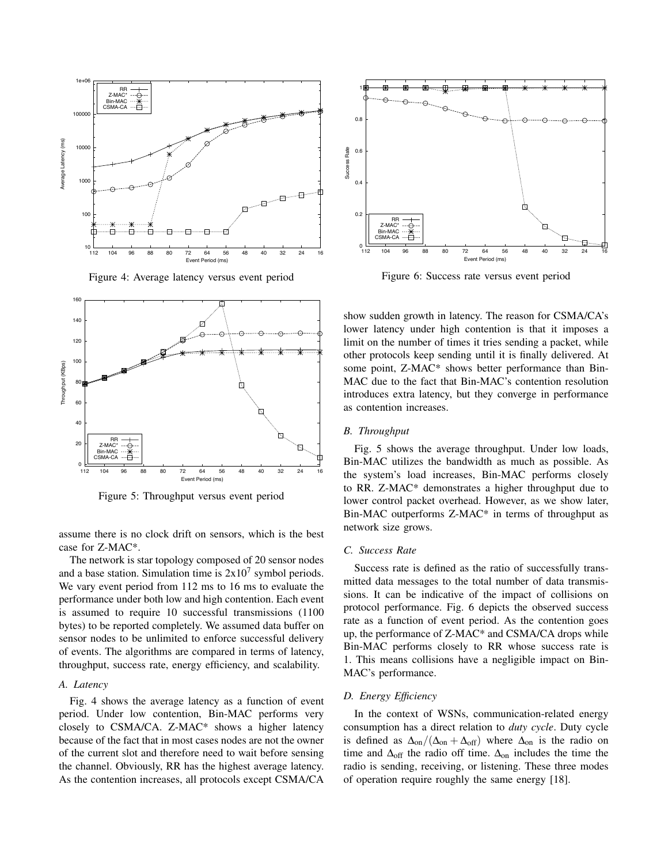

Figure 4: Average latency versus event period



Figure 5: Throughput versus event period

assume there is no clock drift on sensors, which is the best case for Z-MAC\*.

The network is star topology composed of 20 sensor nodes and a base station. Simulation time is  $2x10<sup>7</sup>$  symbol periods. We vary event period from 112 ms to 16 ms to evaluate the performance under both low and high contention. Each event is assumed to require 10 successful transmissions (1100 bytes) to be reported completely. We assumed data buffer on sensor nodes to be unlimited to enforce successful delivery of events. The algorithms are compared in terms of latency, throughput, success rate, energy efficiency, and scalability.

#### *A. Latency*

Fig. 4 shows the average latency as a function of event period. Under low contention, Bin-MAC performs very closely to CSMA/CA. Z-MAC\* shows a higher latency because of the fact that in most cases nodes are not the owner of the current slot and therefore need to wait before sensing the channel. Obviously, RR has the highest average latency. As the contention increases, all protocols except CSMA/CA



Figure 6: Success rate versus event period

show sudden growth in latency. The reason for CSMA/CA's lower latency under high contention is that it imposes a limit on the number of times it tries sending a packet, while other protocols keep sending until it is finally delivered. At some point, Z-MAC\* shows better performance than Bin-MAC due to the fact that Bin-MAC's contention resolution introduces extra latency, but they converge in performance as contention increases.

# *B. Throughput*

Fig. 5 shows the average throughput. Under low loads, Bin-MAC utilizes the bandwidth as much as possible. As the system's load increases, Bin-MAC performs closely to RR. Z-MAC\* demonstrates a higher throughput due to lower control packet overhead. However, as we show later, Bin-MAC outperforms Z-MAC\* in terms of throughput as network size grows.

#### *C. Success Rate*

Success rate is defined as the ratio of successfully transmitted data messages to the total number of data transmissions. It can be indicative of the impact of collisions on protocol performance. Fig. 6 depicts the observed success rate as a function of event period. As the contention goes up, the performance of Z-MAC\* and CSMA/CA drops while Bin-MAC performs closely to RR whose success rate is 1. This means collisions have a negligible impact on Bin-MAC's performance.

#### *D. Energy Efficiency*

In the context of WSNs, communication-related energy consumption has a direct relation to *duty cycle*. Duty cycle is defined as  $\Delta_{on}/(\Delta_{on} + \Delta_{off})$  where  $\Delta_{on}$  is the radio on time and  $\Delta_{\text{off}}$  the radio off time.  $\Delta_{\text{on}}$  includes the time the radio is sending, receiving, or listening. These three modes of operation require roughly the same energy [18].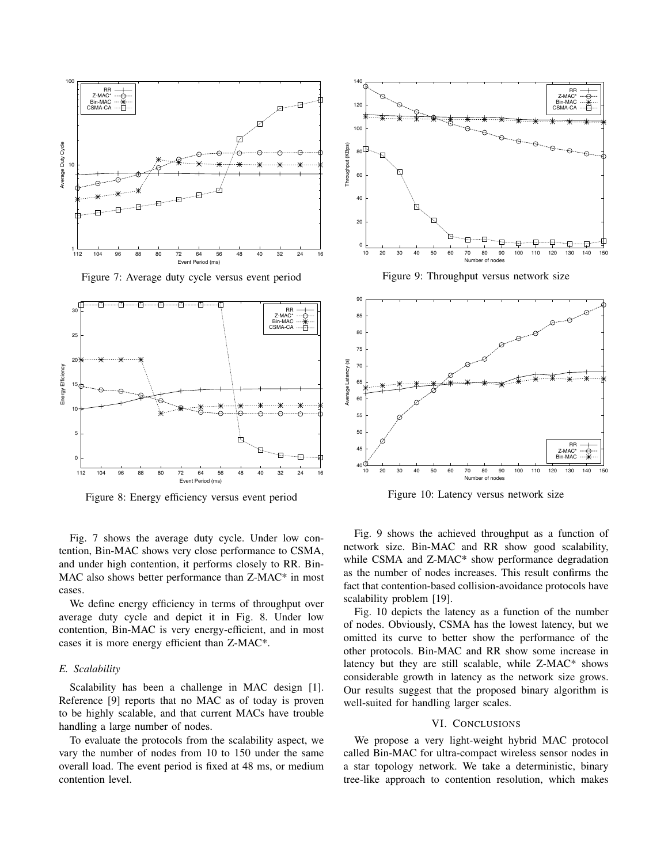

Figure 7: Average duty cycle versus event period



Figure 8: Energy efficiency versus event period

Fig. 7 shows the average duty cycle. Under low contention, Bin-MAC shows very close performance to CSMA, and under high contention, it performs closely to RR. Bin-MAC also shows better performance than Z-MAC\* in most cases.

We define energy efficiency in terms of throughput over average duty cycle and depict it in Fig. 8. Under low contention, Bin-MAC is very energy-efficient, and in most cases it is more energy efficient than Z-MAC\*.

# *E. Scalability*

Scalability has been a challenge in MAC design [1]. Reference [9] reports that no MAC as of today is proven to be highly scalable, and that current MACs have trouble handling a large number of nodes.

To evaluate the protocols from the scalability aspect, we vary the number of nodes from 10 to 150 under the same overall load. The event period is fixed at 48 ms, or medium contention level.



Figure 9: Throughput versus network size



Figure 10: Latency versus network size

Fig. 9 shows the achieved throughput as a function of network size. Bin-MAC and RR show good scalability, while CSMA and Z-MAC\* show performance degradation as the number of nodes increases. This result confirms the fact that contention-based collision-avoidance protocols have scalability problem [19].

Fig. 10 depicts the latency as a function of the number of nodes. Obviously, CSMA has the lowest latency, but we omitted its curve to better show the performance of the other protocols. Bin-MAC and RR show some increase in latency but they are still scalable, while Z-MAC\* shows considerable growth in latency as the network size grows. Our results suggest that the proposed binary algorithm is well-suited for handling larger scales.

## VI. CONCLUSIONS

We propose a very light-weight hybrid MAC protocol called Bin-MAC for ultra-compact wireless sensor nodes in a star topology network. We take a deterministic, binary tree-like approach to contention resolution, which makes